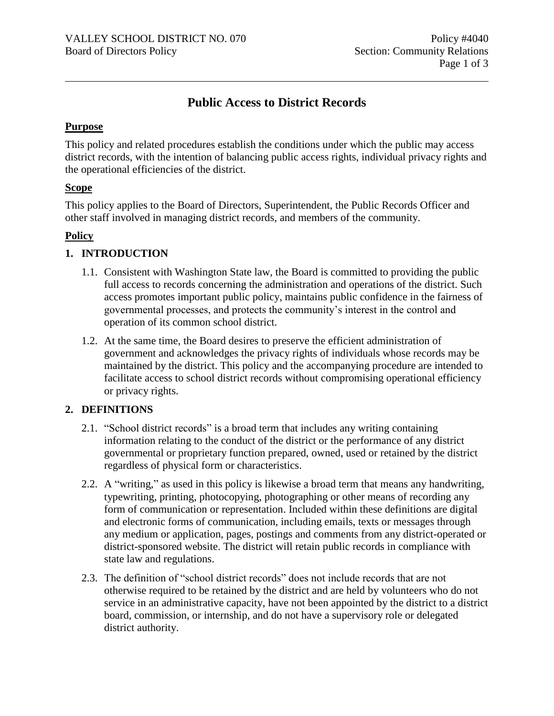# **Public Access to District Records**

## **Purpose**

This policy and related procedures establish the conditions under which the public may access district records, with the intention of balancing public access rights, individual privacy rights and the operational efficiencies of the district.

### **Scope**

This policy applies to the Board of Directors, Superintendent, the Public Records Officer and other staff involved in managing district records, and members of the community.

### **Policy**

## **1. INTRODUCTION**

- 1.1. Consistent with Washington State law, the Board is committed to providing the public full access to records concerning the administration and operations of the district. Such access promotes important public policy, maintains public confidence in the fairness of governmental processes, and protects the community's interest in the control and operation of its common school district.
- 1.2. At the same time, the Board desires to preserve the efficient administration of government and acknowledges the privacy rights of individuals whose records may be maintained by the district. This policy and the accompanying procedure are intended to facilitate access to school district records without compromising operational efficiency or privacy rights.

## **2. DEFINITIONS**

- 2.1. "School district records" is a broad term that includes any writing containing information relating to the conduct of the district or the performance of any district governmental or proprietary function prepared, owned, used or retained by the district regardless of physical form or characteristics.
- 2.2. A "writing," as used in this policy is likewise a broad term that means any handwriting, typewriting, printing, photocopying, photographing or other means of recording any form of communication or representation. Included within these definitions are digital and electronic forms of communication, including emails, texts or messages through any medium or application, pages, postings and comments from any district-operated or district-sponsored website. The district will retain public records in compliance with state law and regulations.
- 2.3. The definition of "school district records" does not include records that are not otherwise required to be retained by the district and are held by volunteers who do not service in an administrative capacity, have not been appointed by the district to a district board, commission, or internship, and do not have a supervisory role or delegated district authority.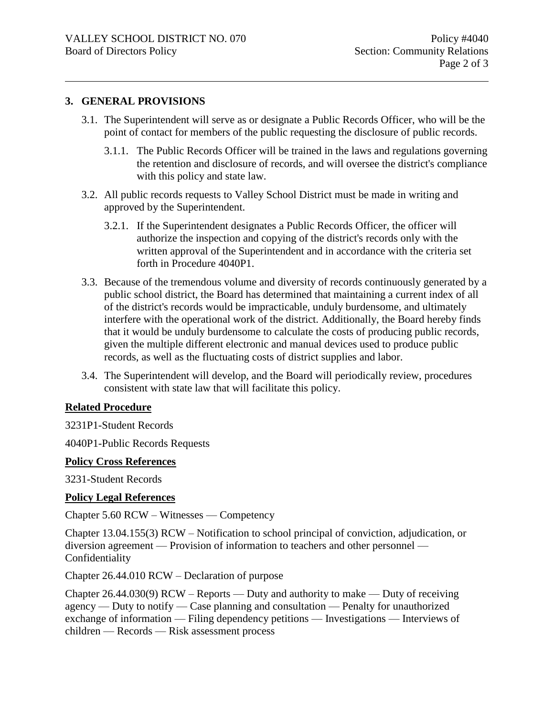#### **3. GENERAL PROVISIONS**

- 3.1. The Superintendent will serve as or designate a Public Records Officer, who will be the point of contact for members of the public requesting the disclosure of public records.
	- 3.1.1. The Public Records Officer will be trained in the laws and regulations governing the retention and disclosure of records, and will oversee the district's compliance with this policy and state law.
- 3.2. All public records requests to Valley School District must be made in writing and approved by the Superintendent.
	- 3.2.1. If the Superintendent designates a Public Records Officer, the officer will authorize the inspection and copying of the district's records only with the written approval of the Superintendent and in accordance with the criteria set forth in Procedure 4040P1.
- 3.3. Because of the tremendous volume and diversity of records continuously generated by a public school district, the Board has determined that maintaining a current index of all of the district's records would be impracticable, unduly burdensome, and ultimately interfere with the operational work of the district. Additionally, the Board hereby finds that it would be unduly burdensome to calculate the costs of producing public records, given the multiple different electronic and manual devices used to produce public records, as well as the fluctuating costs of district supplies and labor.
- 3.4. The Superintendent will develop, and the Board will periodically review, procedures consistent with state law that will facilitate this policy.

### **Related Procedure**

3231P1-Student Records

4040P1-Public Records Requests

#### **Policy Cross References**

3231-Student Records

#### **Policy Legal References**

Chapter 5.60 RCW – Witnesses — Competency

Chapter 13.04.155(3) RCW – Notification to school principal of conviction, adjudication, or diversion agreement — Provision of information to teachers and other personnel — Confidentiality

Chapter 26.44.010 RCW – Declaration of purpose

Chapter 26.44.030(9) RCW – Reports — Duty and authority to make — Duty of receiving agency — Duty to notify — Case planning and consultation — Penalty for unauthorized exchange of information — Filing dependency petitions — Investigations — Interviews of children — Records — Risk assessment process